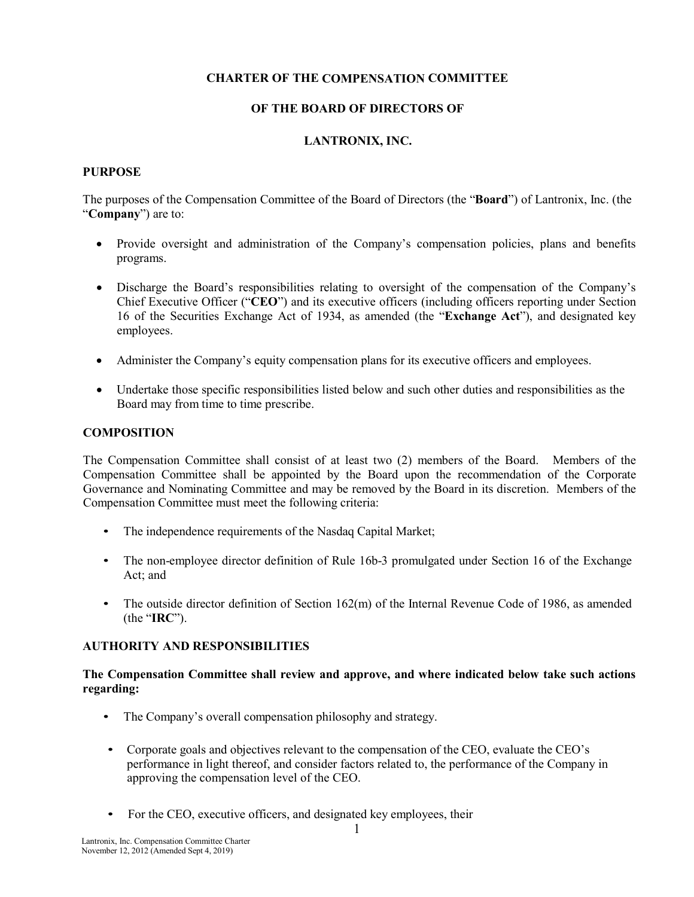# **CHARTER OF THE COMPENSATION COMMITTEE**

### **OF THE BOARD OF DIRECTORS OF**

## **LANTRONIX, INC.**

#### **PURPOSE**

The purposes of the Compensation Committee of the Board of Directors (the "**Board**") of Lantronix, Inc. (the "**Company**") are to:

- Provide oversight and administration of the Company's compensation policies, plans and benefits programs.
- Discharge the Board's responsibilities relating to oversight of the compensation of the Company's Chief Executive Officer ("**CEO**") and its executive officers (including officers reporting under Section 16 of the Securities Exchange Act of 1934, as amended (the "**Exchange Act**"), and designated key employees.
- Administer the Company's equity compensation plans for its executive officers and employees.
- Undertake those specific responsibilities listed below and such other duties and responsibilities as the Board may from time to time prescribe.

### **COMPOSITION**

The Compensation Committee shall consist of at least two (2) members of the Board. Members of the Compensation Committee shall be appointed by the Board upon the recommendation of the Corporate Governance and Nominating Committee and may be removed by the Board in its discretion. Members of the Compensation Committee must meet the following criteria:

- The independence requirements of the Nasdaq Capital Market;
- The non-employee director definition of Rule 16b-3 promulgated under Section 16 of the Exchange Act; and
- The outside director definition of Section 162(m) of the Internal Revenue Code of 1986, as amended (the "**IRC**").

### **AUTHORITY AND RESPONSIBILITIES**

### **The Compensation Committee shall review and approve, and where indicated below take such actions regarding:**

- The Company's overall compensation philosophy and strategy.
- Corporate goals and objectives relevant to the compensation of the CEO, evaluate the CEO's performance in light thereof, and consider factors related to, the performance of the Company in approving the compensation level of the CEO.
- For the CEO, executive officers, and designated key employees, their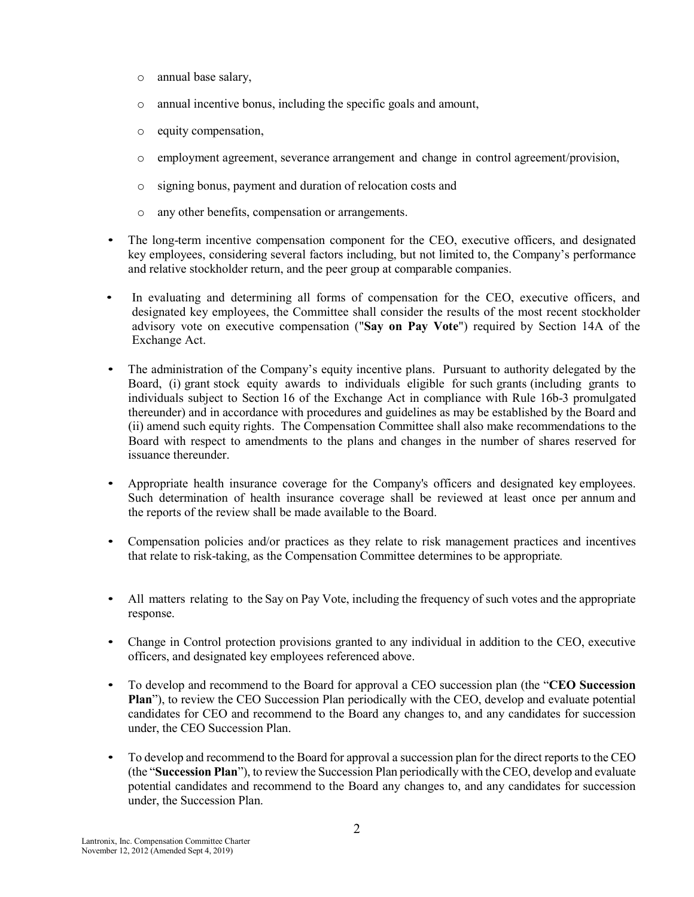- o annual base salary,
- o annual incentive bonus, including the specific goals and amount,
- o equity compensation,
- o employment agreement, severance arrangement and change in control agreement/provision,
- o signing bonus, payment and duration of relocation costs and
- o any other benefits, compensation or arrangements.
- The long-term incentive compensation component for the CEO, executive officers, and designated key employees, considering several factors including, but not limited to, the Company's performance and relative stockholder return, and the peer group at comparable companies.
- In evaluating and determining all forms of compensation for the CEO, executive officers, and designated key employees, the Committee shall consider the results of the most recent stockholder advisory vote on executive compensation ("**Say on Pay Vote**") required by Section 14A of the Exchange Act.
- The administration of the Company's equity incentive plans. Pursuant to authority delegated by the Board, (i) grant stock equity awards to individuals eligible for such grants (including grants to individuals subject to Section 16 of the Exchange Act in compliance with Rule 16b-3 promulgated thereunder) and in accordance with procedures and guidelines as may be established by the Board and (ii) amend such equity rights. The Compensation Committee shall also make recommendations to the Board with respect to amendments to the plans and changes in the number of shares reserved for issuance thereunder.
- Appropriate health insurance coverage for the Company's officers and designated key employees. Such determination of health insurance coverage shall be reviewed at least once per annum and the reports of the review shall be made available to the Board.
- Compensation policies and/or practices as they relate to risk management practices and incentives that relate to risk-taking, as the Compensation Committee determines to be appropriate*.*
- All matters relating to the Say on Pay Vote, including the frequency of such votes and the appropriate response.
- Change in Control protection provisions granted to any individual in addition to the CEO, executive officers, and designated key employees referenced above.
- To develop and recommend to the Board for approval a CEO succession plan (the "**CEO Succession Plan**"), to review the CEO Succession Plan periodically with the CEO, develop and evaluate potential candidates for CEO and recommend to the Board any changes to, and any candidates for succession under, the CEO Succession Plan.
- To develop and recommend to the Board for approval a succession plan for the direct reports to the CEO (the "**Succession Plan**"), to review the Succession Plan periodically with the CEO, develop and evaluate potential candidates and recommend to the Board any changes to, and any candidates for succession under, the Succession Plan.